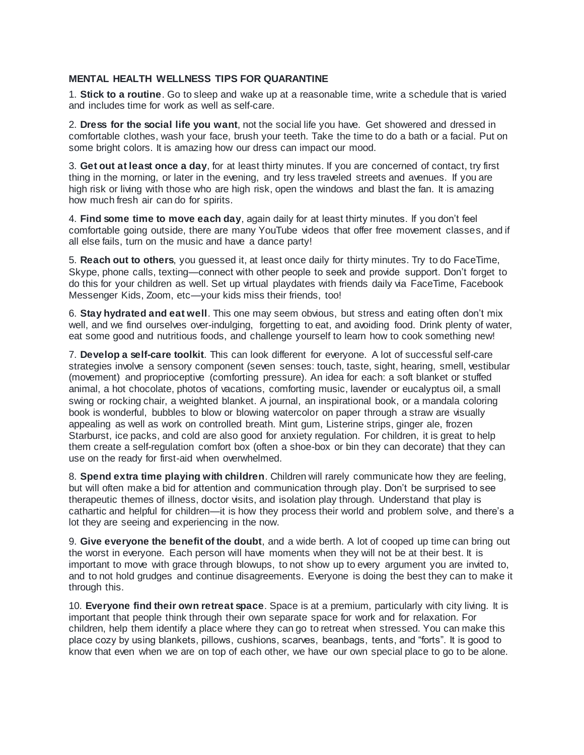## **MENTAL HEALTH WELLNESS TIPS FOR QUARANTINE**

1. **Stick to a routine**. Go to sleep and wake up at a reasonable time, write a schedule that is varied and includes time for work as well as self-care.

2. **Dress for the social life you want**, not the social life you have. Get showered and dressed in comfortable clothes, wash your face, brush your teeth. Take the time to do a bath or a facial. Put on some bright colors. It is amazing how our dress can impact our mood.

3. **Get out at least once a day**, for at least thirty minutes. If you are concerned of contact, try first thing in the morning, or later in the evening, and try less traveled streets and avenues. If you are high risk or living with those who are high risk, open the windows and blast the fan. It is amazing how much fresh air can do for spirits.

4. **Find some time to move each day**, again daily for at least thirty minutes. If you don't feel comfortable going outside, there are many YouTube videos that offer free movement classes, and if all else fails, turn on the music and have a dance party!

5. **Reach out to others**, you guessed it, at least once daily for thirty minutes. Try to do FaceTime, Skype, phone calls, texting—connect with other people to seek and provide support. Don't forget to do this for your children as well. Set up virtual playdates with friends daily via FaceTime, Facebook Messenger Kids, Zoom, etc—your kids miss their friends, too!

6. **Stay hydrated and eat well**. This one may seem obvious, but stress and eating often don't mix well, and we find ourselves over-indulging, forgetting to eat, and avoiding food. Drink plenty of water, eat some good and nutritious foods, and challenge yourself to learn how to cook something new!

7. **Develop a self-care toolkit**. This can look different for everyone. A lot of successful self-care strategies involve a sensory component (seven senses: touch, taste, sight, hearing, smell, vestibular (movement) and proprioceptive (comforting pressure). An idea for each: a soft blanket or stuffed animal, a hot chocolate, photos of vacations, comforting music, lavender or eucalyptus oil, a small swing or rocking chair, a weighted blanket. A journal, an inspirational book, or a mandala coloring book is wonderful, bubbles to blow or blowing watercolor on paper through a straw are visually appealing as well as work on controlled breath. Mint gum, Listerine strips, ginger ale, frozen Starburst, ice packs, and cold are also good for anxiety regulation. For children, it is great to help them create a self-regulation comfort box (often a shoe-box or bin they can decorate) that they can use on the ready for first-aid when overwhelmed.

8. **Spend extra time playing with children**. Children will rarely communicate how they are feeling, but will often make a bid for attention and communication through play. Don't be surprised to see therapeutic themes of illness, doctor visits, and isolation play through. Understand that play is cathartic and helpful for children—it is how they process their world and problem solve, and there's a lot they are seeing and experiencing in the now.

9. **Give everyone the benefit of the doubt**, and a wide berth. A lot of cooped up time can bring out the worst in everyone. Each person will have moments when they will not be at their best. It is important to move with grace through blowups, to not show up to every argument you are invited to, and to not hold grudges and continue disagreements. Everyone is doing the best they can to make it through this.

10. **Everyone find their own retreat space**. Space is at a premium, particularly with city living. It is important that people think through their own separate space for work and for relaxation. For children, help them identify a place where they can go to retreat when stressed. You can make this place cozy by using blankets, pillows, cushions, scarves, beanbags, tents, and "forts". It is good to know that even when we are on top of each other, we have our own special place to go to be alone.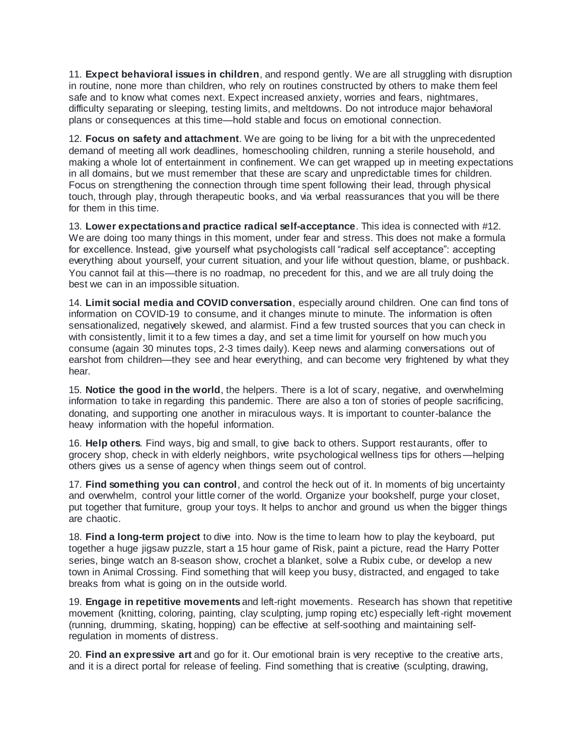11. **Expect behavioral issues in children**, and respond gently. We are all struggling with disruption in routine, none more than children, who rely on routines constructed by others to make them feel safe and to know what comes next. Expect increased anxiety, worries and fears, nightmares, difficulty separating or sleeping, testing limits, and meltdowns. Do not introduce major behavioral plans or consequences at this time—hold stable and focus on emotional connection.

12. **Focus on safety and attachment**. We are going to be living for a bit with the unprecedented demand of meeting all work deadlines, homeschooling children, running a sterile household, and making a whole lot of entertainment in confinement. We can get wrapped up in meeting expectations in all domains, but we must remember that these are scary and unpredictable times for children. Focus on strengthening the connection through time spent following their lead, through physical touch, through play, through therapeutic books, and via verbal reassurances that you will be there for them in this time.

13. **Lower expectations and practice radical self-acceptance**. This idea is connected with #12. We are doing too many things in this moment, under fear and stress. This does not make a formula for excellence. Instead, give yourself what psychologists call "radical self acceptance": accepting everything about yourself, your current situation, and your life without question, blame, or pushback. You cannot fail at this—there is no roadmap, no precedent for this, and we are all truly doing the best we can in an impossible situation.

14. **Limit social media and COVID conversation**, especially around children. One can find tons of information on COVID-19 to consume, and it changes minute to minute. The information is often sensationalized, negatively skewed, and alarmist. Find a few trusted sources that you can check in with consistently, limit it to a few times a day, and set a time limit for yourself on how much you consume (again 30 minutes tops, 2-3 times daily). Keep news and alarming conversations out of earshot from children—they see and hear everything, and can become very frightened by what they hear.

15. **Notice the good in the world**, the helpers. There is a lot of scary, negative, and overwhelming information to take in regarding this pandemic. There are also a ton of stories of people sacrificing, donating, and supporting one another in miraculous ways. It is important to counter-balance the heavy information with the hopeful information.

16. **Help others**. Find ways, big and small, to give back to others. Support restaurants, offer to grocery shop, check in with elderly neighbors, write psychological wellness tips for others—helping others gives us a sense of agency when things seem out of control.

17. **Find something you can control**, and control the heck out of it. In moments of big uncertainty and overwhelm, control your little corner of the world. Organize your bookshelf, purge your closet, put together that furniture, group your toys. It helps to anchor and ground us when the bigger things are chaotic.

18. **Find a long-term project** to dive into. Now is the time to learn how to play the keyboard, put together a huge jigsaw puzzle, start a 15 hour game of Risk, paint a picture, read the Harry Potter series, binge watch an 8-season show, crochet a blanket, solve a Rubix cube, or develop a new town in Animal Crossing. Find something that will keep you busy, distracted, and engaged to take breaks from what is going on in the outside world.

19. **Engage in repetitive movements** and left-right movements. Research has shown that repetitive movement (knitting, coloring, painting, clay sculpting, jump roping etc) especially left-right movement (running, drumming, skating, hopping) can be effective at self-soothing and maintaining selfregulation in moments of distress.

20. **Find an expressive art** and go for it. Our emotional brain is very receptive to the creative arts, and it is a direct portal for release of feeling. Find something that is creative (sculpting, drawing,